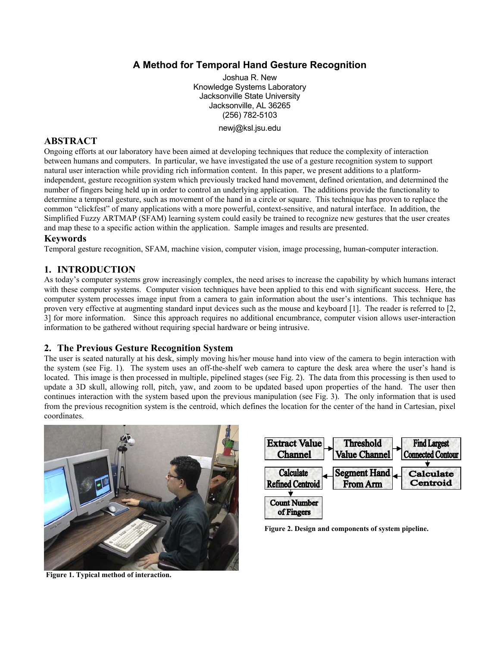# **A Method for Temporal Hand Gesture Recognition**

Joshua R. New Knowledge Systems Laboratory Jacksonville State University Jacksonville, AL 36265 (256) 782-5103 newj@ksl.jsu.edu

# **ABSTRACT**

Ongoing efforts at our laboratory have been aimed at developing techniques that reduce the complexity of interaction between humans and computers. In particular, we have investigated the use of a gesture recognition system to support natural user interaction while providing rich information content. In this paper, we present additions to a platformindependent, gesture recognition system which previously tracked hand movement, defined orientation, and determined the number of fingers being held up in order to control an underlying application. The additions provide the functionality to determine a temporal gesture, such as movement of the hand in a circle or square. This technique has proven to replace the common "clickfest" of many applications with a more powerful, context-sensitive, and natural interface. In addition, the Simplified Fuzzy ARTMAP (SFAM) learning system could easily be trained to recognize new gestures that the user creates and map these to a specific action within the application. Sample images and results are presented.

## **Keywords**

Temporal gesture recognition, SFAM, machine vision, computer vision, image processing, human-computer interaction.

# **1. INTRODUCTION**

As today's computer systems grow increasingly complex, the need arises to increase the capability by which humans interact with these computer systems. Computer vision techniques have been applied to this end with significant success. Here, the computer system processes image input from a camera to gain information about the user's intentions. This technique has proven very effective at augmenting standard input devices such as the mouse and keyboard [1]. The reader is referred to [2, 3] for more information. Since this approach requires no additional encumbrance, computer vision allows user-interaction information to be gathered without requiring special hardware or being intrusive.

# **2. The Previous Gesture Recognition System**

The user is seated naturally at his desk, simply moving his/her mouse hand into view of the camera to begin interaction with the system (see Fig. 1). The system uses an off-the-shelf web camera to capture the desk area where the user's hand is located. This image is then processed in multiple, pipelined stages (see Fig. 2). The data from this processing is then used to update a 3D skull, allowing roll, pitch, yaw, and zoom to be updated based upon properties of the hand. The user then continues interaction with the system based upon the previous manipulation (see Fig. 3). The only information that is used from the previous recognition system is the centroid, which defines the location for the center of the hand in Cartesian, pixel coordinates.



**Extract Value Threshold Find Largest Channel Value Channel Connected Contour Calculate Segment Hand** Calculate **Refined Centroid From Arm** Centroid **Count Number** of Fingers

**Figure 2. Design and components of system pipeline.** 

**Figure 1. Typical method of interaction.**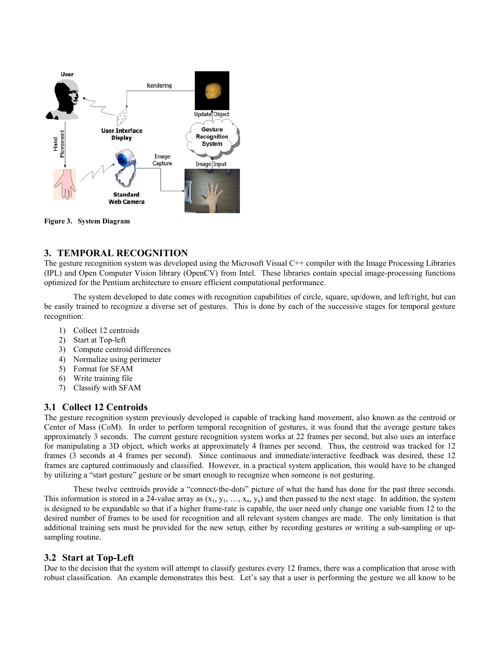

**Figure 3. System Diagram** 

## **3. TEMPORAL RECOGNITION**

The gesture recognition system was developed using the Microsoft Visual C++ compiler with the Image Processing Libraries (IPL) and Open Computer Vision library (OpenCV) from Intel. These libraries contain special image-processing functions optimized for the Pentium architecture to ensure efficient computational performance.

 The system developed to date comes with recognition capabilities of circle, square, up/down, and left/right, but can be easily trained to recognize a diverse set of gestures. This is done by each of the successive stages for temporal gesture recognition:

- 1) Collect 12 centroids
- 2) Start at Top-left
- 3) Compute centroid differences
- 4) Normalize using perimeter
- 5) Format for SFAM
- 6) Write training file
- 7) Classify with SFAM

#### **3.1 Collect 12 Centroids**

The gesture recognition system previously developed is capable of tracking hand movement, also known as the centroid or Center of Mass (CoM). In order to perform temporal recognition of gestures, it was found that the average gesture takes approximately 3 seconds. The current gesture recognition system works at 22 frames per second, but also uses an interface for manipulating a 3D object, which works at approximately 4 frames per second. Thus, the centroid was tracked for 12 frames (3 seconds at 4 frames per second). Since continuous and immediate/interactive feedback was desired, these 12 frames are captured continuously and classified. However, in a practical system application, this would have to be changed by utilizing a "start gesture" gesture or be smart enough to recognize when someone is not gesturing.

 These twelve centroids provide a "connect-the-dots" picture of what the hand has done for the past three seconds. This information is stored in a 24-value array as  $(x_1, y_1, ..., x_n, y_n)$  and then passed to the next stage. In addition, the system is designed to be expandable so that if a higher frame-rate is capable, the user need only change one variable from 12 to the desired number of frames to be used for recognition and all relevant system changes are made. The only limitation is that additional training sets must be provided for the new setup, either by recording gestures or writing a sub-sampling or upsampling routine.

### **3.2 Start at Top-Left**

Due to the decision that the system will attempt to classify gestures every 12 frames, there was a complication that arose with robust classification. An example demonstrates this best. Let's say that a user is performing the gesture we all know to be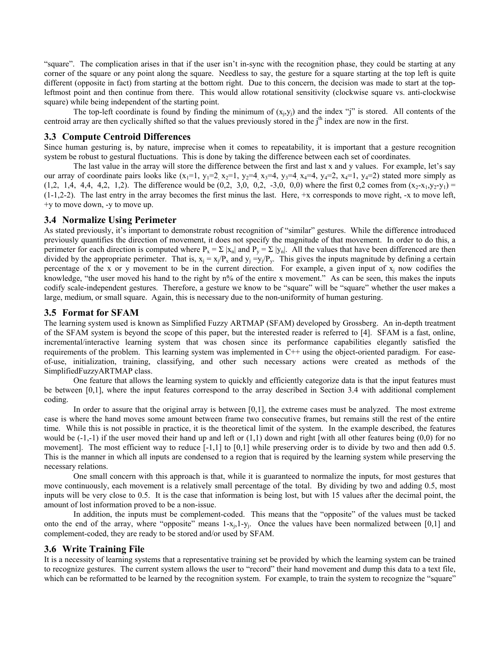"square". The complication arises in that if the user isn't in-sync with the recognition phase, they could be starting at any corner of the square or any point along the square. Needless to say, the gesture for a square starting at the top left is quite different (opposite in fact) from starting at the bottom right. Due to this concern, the decision was made to start at the topleftmost point and then continue from there. This would allow rotational sensitivity (clockwise square vs. anti-clockwise square) while being independent of the starting point.

The top-left coordinate is found by finding the minimum of  $(x_i, y_i)$  and the index "j" is stored. All contents of the centroid array are then cyclically shifted so that the values previously stored in the j<sup>th</sup> index are now in the first.

### **3.3 Compute Centroid Differences**

Since human gesturing is, by nature, imprecise when it comes to repeatability, it is important that a gesture recognition system be robust to gestural fluctuations. This is done by taking the difference between each set of coordinates.

 The last value in the array will store the difference between the first and last x and y values. For example, let's say our array of coordinate pairs looks like  $(x_1=1, y_1=2, x_2=1, y_2=4, x_3=4, y_3=4, x_4=4, y_4=2, x_4=1, y_4=2)$  stated more simply as  $(1,2, 1,4, 4,4, 4,2, 1,2)$ . The difference would be  $(0,2, 3,0, 0,2, -3,0, 0,0)$  where the first 0,2 comes from  $(x_2-x_1,y_2-y_1)$  =  $(1-1,2-2)$ . The last entry in the array becomes the first minus the last. Here,  $+x$  corresponds to move right,  $-x$  to move left, +y to move down, -y to move up.

#### **3.4 Normalize Using Perimeter**

As stated previously, it's important to demonstrate robust recognition of "similar" gestures. While the difference introduced previously quantifies the direction of movement, it does not specify the magnitude of that movement. In order to do this, a perimeter for each direction is computed where  $P_x = \sum |x_n|$  and  $P_y = \sum |y_n|$ . All the values that have been differenced are then divided by the appropriate perimeter. That is,  $x_j = x_j/P_x$  and  $y_j = y_j/P_y$ . This gives the inputs magnitude by defining a certain percentage of the x or y movement to be in the current direction. For example, a given input of  $x_i$  now codifies the knowledge, "the user moved his hand to the right by  $n\%$  of the entire x movement." As can be seen, this makes the inputs codify scale-independent gestures. Therefore, a gesture we know to be "square" will be "square" whether the user makes a large, medium, or small square. Again, this is necessary due to the non-uniformity of human gesturing.

#### **3.5 Format for SFAM**

The learning system used is known as Simplified Fuzzy ARTMAP (SFAM) developed by Grossberg. An in-depth treatment of the SFAM system is beyond the scope of this paper, but the interested reader is referred to [4]. SFAM is a fast, online, incremental/interactive learning system that was chosen since its performance capabilities elegantly satisfied the requirements of the problem. This learning system was implemented in C++ using the object-oriented paradigm. For easeof-use, initialization, training, classifying, and other such necessary actions were created as methods of the SimplifiedFuzzyARTMAP class.

 One feature that allows the learning system to quickly and efficiently categorize data is that the input features must be between [0,1], where the input features correspond to the array described in Section 3.4 with additional complement coding.

In order to assure that the original array is between [0,1], the extreme cases must be analyzed. The most extreme case is where the hand moves some amount between frame two consecutive frames, but remains still the rest of the entire time. While this is not possible in practice, it is the theoretical limit of the system. In the example described, the features would be  $(-1,-1)$  if the user moved their hand up and left or  $(1,1)$  down and right [with all other features being  $(0,0)$  for no movement]. The most efficient way to reduce  $[-1,1]$  to  $[0,1]$  while preserving order is to divide by two and then add 0.5. This is the manner in which all inputs are condensed to a region that is required by the learning system while preserving the necessary relations.

 One small concern with this approach is that, while it is guaranteed to normalize the inputs, for most gestures that move continuously, each movement is a relatively small percentage of the total. By dividing by two and adding 0.5, most inputs will be very close to 0.5. It is the case that information is being lost, but with 15 values after the decimal point, the amount of lost information proved to be a non-issue.

 In addition, the inputs must be complement-coded. This means that the "opposite" of the values must be tacked onto the end of the array, where "opposite" means  $1-x<sub>i</sub>,1-y<sub>i</sub>$ . Once the values have been normalized between [0,1] and complement-coded, they are ready to be stored and/or used by SFAM.

### **3.6 Write Training File**

It is a necessity of learning systems that a representative training set be provided by which the learning system can be trained to recognize gestures. The current system allows the user to "record" their hand movement and dump this data to a text file, which can be reformatted to be learned by the recognition system. For example, to train the system to recognize the "square"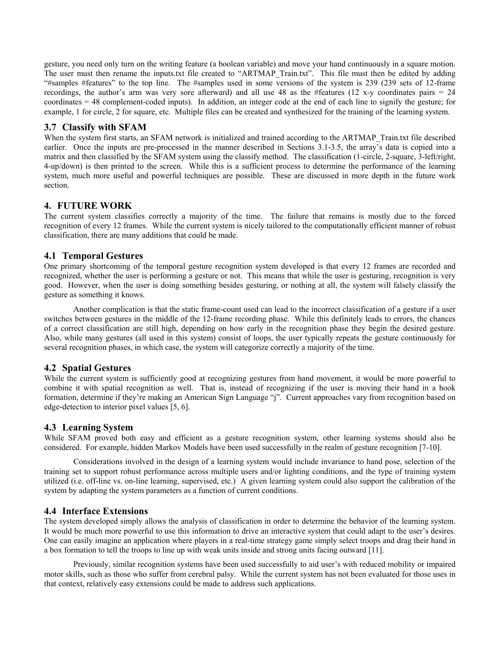gesture, you need only turn on the writing feature (a boolean variable) and move your hand continuously in a square motion. The user must then rename the inputs.txt file created to "ARTMAP\_Train.txt". This file must then be edited by adding "#samples #features" to the top line. The #samples used in some versions of the system is 239 (239 sets of 12-frame recordings, the author's arm was very sore afterward) and all use 48 as the #features (12 x-y coordinates pairs  $= 24$ coordinates = 48 complement-coded inputs). In addition, an integer code at the end of each line to signify the gesture; for example, 1 for circle, 2 for square, etc. Multiple files can be created and synthesized for the training of the learning system.

# **3.7 Classify with SFAM**

When the system first starts, an SFAM network is initialized and trained according to the ARTMAP\_Train.txt file described earlier. Once the inputs are pre-processed in the manner described in Sections 3.1-3.5, the array's data is copied into a matrix and then classified by the SFAM system using the classify method. The classification (1-circle, 2-square, 3-left/right, 4-up/down) is then printed to the screen. While this is a sufficient process to determine the performance of the learning system, much more useful and powerful techniques are possible. These are discussed in more depth in the future work section.

## **4. FUTURE WORK**

The current system classifies correctly a majority of the time. The failure that remains is mostly due to the forced recognition of every 12 frames. While the current system is nicely tailored to the computationally efficient manner of robust classification, there are many additions that could be made.

# **4.1 Temporal Gestures**

One primary shortcoming of the temporal gesture recognition system developed is that every 12 frames are recorded and recognized, whether the user is performing a gesture or not. This means that while the user is gesturing, recognition is very good. However, when the user is doing something besides gesturing, or nothing at all, the system will falsely classify the gesture as something it knows.

 Another complication is that the static frame-count used can lead to the incorrect classification of a gesture if a user switches between gestures in the middle of the 12-frame recording phase. While this definitely leads to errors, the chances of a correct classification are still high, depending on how early in the recognition phase they begin the desired gesture. Also, while many gestures (all used in this system) consist of loops, the user typically repeats the gesture continuously for several recognition phases, in which case, the system will categorize correctly a majority of the time.

# **4.2 Spatial Gestures**

While the current system is sufficiently good at recognizing gestures from hand movement, it would be more powerful to combine it with spatial recognition as well. That is, instead of recognizing if the user is moving their hand in a hook formation, determine if they're making an American Sign Language "j". Current approaches vary from recognition based on edge-detection to interior pixel values [5, 6].

# **4.3 Learning System**

While SFAM proved both easy and efficient as a gesture recognition system, other learning systems should also be considered. For example, hidden Markov Models have been used successfully in the realm of gesture recognition [7-10].

Considerations involved in the design of a learning system would include invariance to hand pose, selection of the training set to support robust performance across multiple users and/or lighting conditions, and the type of training system utilized (i.e. off-line vs. on-line learning, supervised, etc.) A given learning system could also support the calibration of the system by adapting the system parameters as a function of current conditions.

### **4.4 Interface Extensions**

The system developed simply allows the analysis of classification in order to determine the behavior of the learning system. It would be much more powerful to use this information to drive an interactive system that could adapt to the user's desires. One can easily imagine an application where players in a real-time strategy game simply select troops and drag their hand in a box formation to tell the troops to line up with weak units inside and strong units facing outward [11].

 Previously, similar recognition systems have been used successfully to aid user's with reduced mobility or impaired motor skills, such as those who suffer from cerebral palsy. While the current system has not been evaluated for those uses in that context, relatively easy extensions could be made to address such applications.